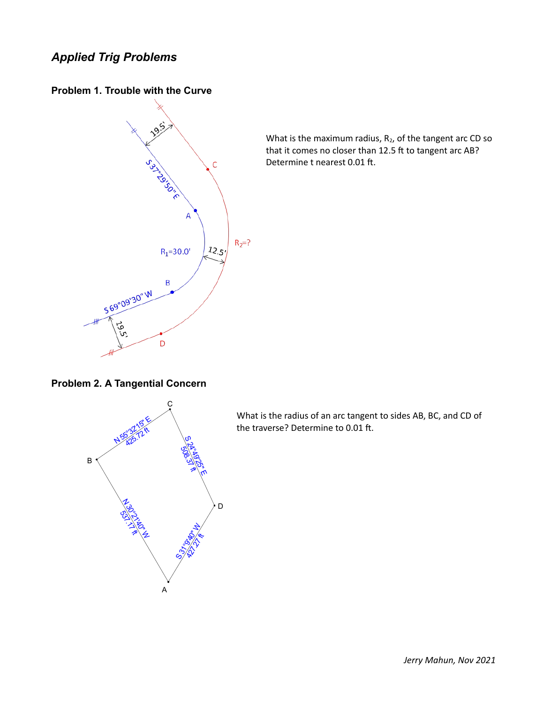## *Applied Trig Problems*

**Problem 1. Trouble with the Curve**



What is the maximum radius,  $R_2$ , of the tangent arc CD so that it comes no closer than 12.5 ft to tangent arc AB? Determine t nearest 0.01 ft.

**Problem 2. A Tangential Concern**



What is the radius of an arc tangent to sides AB, BC, and CD of the traverse? Determine to 0.01 ft.